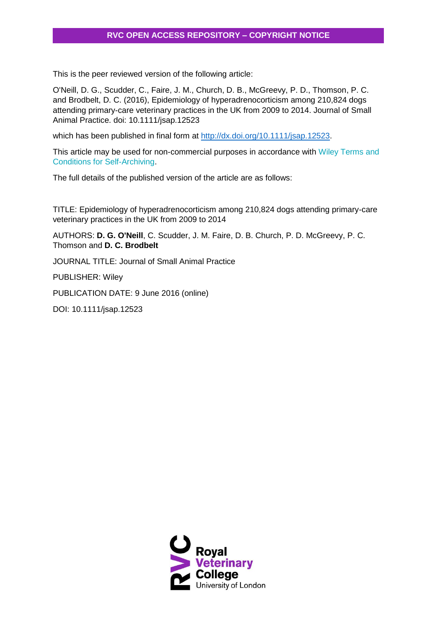This is the peer reviewed version of the following article:

O'Neill, D. G., Scudder, C., Faire, J. M., Church, D. B., McGreevy, P. D., Thomson, P. C. and Brodbelt, D. C. (2016), Epidemiology of hyperadrenocorticism among 210,824 dogs attending primary-care veterinary practices in the UK from 2009 to 2014. Journal of Small Animal Practice. doi: 10.1111/jsap.12523

which has been published in final form at [http://dx.doi.org/10.1111/jsap.12523.](http://dx.doi.org/10.1111/jsap.12523)

This article may be used for non-commercial purposes in accordance with Wiley [Terms](http://olabout.wiley.com/WileyCDA/Section/id-820227.html#terms) and Conditions for [Self-Archiving.](http://olabout.wiley.com/WileyCDA/Section/id-820227.html#terms)

The full details of the published version of the article are as follows:

TITLE: Epidemiology of hyperadrenocorticism among 210,824 dogs attending primary-care veterinary practices in the UK from 2009 to 2014

AUTHORS: **D. G. O'Neill**, C. Scudder, J. M. Faire, D. B. Church, P. D. McGreevy, P. C. Thomson and **D. C. Brodbelt**

JOURNAL TITLE: Journal of Small Animal Practice

PUBLISHER: Wiley

PUBLICATION DATE: 9 June 2016 (online)

DOI: 10.1111/jsap.12523

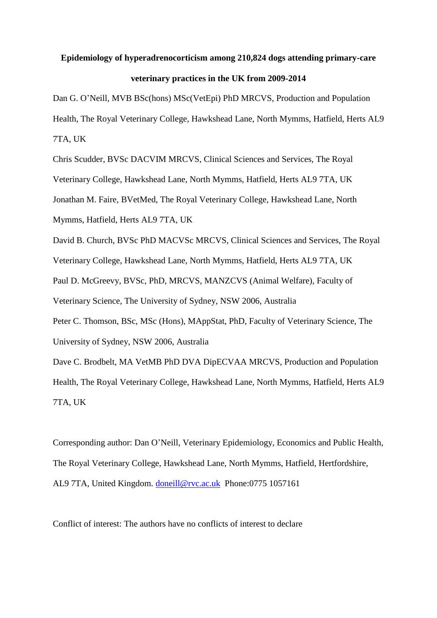# **Epidemiology of hyperadrenocorticism among 210,824 dogs attending primary-care veterinary practices in the UK from 2009-2014**

Dan G. O'Neill, MVB BSc(hons) MSc(VetEpi) PhD MRCVS, Production and Population Health, The Royal Veterinary College, Hawkshead Lane, North Mymms, Hatfield, Herts AL9 7TA, UK

Chris Scudder, BVSc DACVIM MRCVS, Clinical Sciences and Services, The Royal Veterinary College, Hawkshead Lane, North Mymms, Hatfield, Herts AL9 7TA, UK Jonathan M. Faire, BVetMed, The Royal Veterinary College, Hawkshead Lane, North Mymms, Hatfield, Herts AL9 7TA, UK

David B. Church, BVSc PhD MACVSc MRCVS, Clinical Sciences and Services, The Royal

Veterinary College, Hawkshead Lane, North Mymms, Hatfield, Herts AL9 7TA, UK Paul D. McGreevy, BVSc, PhD, MRCVS, MANZCVS (Animal Welfare), Faculty of

Veterinary Science, The University of Sydney, NSW 2006, Australia

Peter C. Thomson, BSc, MSc (Hons), MAppStat, PhD, Faculty of Veterinary Science, The University of Sydney, NSW 2006, Australia

Dave C. Brodbelt, MA VetMB PhD DVA DipECVAA MRCVS, Production and Population Health, The Royal Veterinary College, Hawkshead Lane, North Mymms, Hatfield, Herts AL9 7TA, UK

Corresponding author: Dan O'Neill, Veterinary Epidemiology, Economics and Public Health, The Royal Veterinary College, Hawkshead Lane, North Mymms, Hatfield, Hertfordshire, AL9 7TA, United Kingdom. [doneill@rvc.ac.uk](mailto:doneill@rvc.ac.uk) Phone:0775 1057161

Conflict of interest: The authors have no conflicts of interest to declare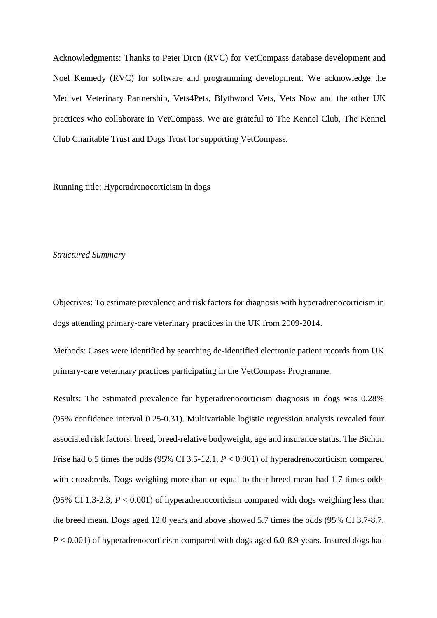Acknowledgments: Thanks to Peter Dron (RVC) for VetCompass database development and Noel Kennedy (RVC) for software and programming development. We acknowledge the Medivet Veterinary Partnership, Vets4Pets, Blythwood Vets, Vets Now and the other UK practices who collaborate in VetCompass. We are grateful to The Kennel Club, The Kennel Club Charitable Trust and Dogs Trust for supporting VetCompass.

Running title: Hyperadrenocorticism in dogs

#### *Structured Summary*

Objectives: To estimate prevalence and risk factors for diagnosis with hyperadrenocorticism in dogs attending primary-care veterinary practices in the UK from 2009-2014.

Methods: Cases were identified by searching de-identified electronic patient records from UK primary-care veterinary practices participating in the VetCompass Programme.

Results: The estimated prevalence for hyperadrenocorticism diagnosis in dogs was 0.28% (95% confidence interval 0.25-0.31). Multivariable logistic regression analysis revealed four associated risk factors: breed, breed-relative bodyweight, age and insurance status. The Bichon Frise had 6.5 times the odds (95% CI 3.5-12.1,  $P < 0.001$ ) of hyperadrenocorticism compared with crossbreds. Dogs weighing more than or equal to their breed mean had 1.7 times odds (95% CI 1.3-2.3,  $P < 0.001$ ) of hyperadrenocorticism compared with dogs weighing less than the breed mean. Dogs aged 12.0 years and above showed 5.7 times the odds (95% CI 3.7-8.7, *P* < 0.001) of hyperadrenocorticism compared with dogs aged 6.0-8.9 years. Insured dogs had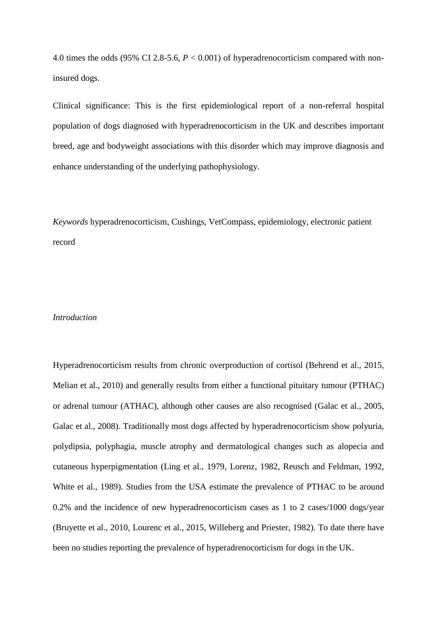4.0 times the odds (95% CI 2.8-5.6, *P* < 0.001) of hyperadrenocorticism compared with noninsured dogs.

Clinical significance: This is the first epidemiological report of a non-referral hospital population of dogs diagnosed with hyperadrenocorticism in the UK and describes important breed, age and bodyweight associations with this disorder which may improve diagnosis and enhance understanding of the underlying pathophysiology.

*Keywords* hyperadrenocorticism, Cushings, VetCompass, epidemiology, electronic patient record

### *Introduction*

Hyperadrenocorticism results from chronic overproduction of cortisol [\(Behrend et al., 2015,](#page-26-0) [Melian et al., 2010\)](#page-28-0) and generally results from either a functional pituitary tumour (PTHAC) or adrenal tumour (ATHAC), although other causes are also recognised [\(Galac et al., 2005,](#page-27-0) [Galac et al., 2008\)](#page-27-1). Traditionally most dogs affected by hyperadrenocorticism show polyuria, polydipsia, polyphagia, muscle atrophy and dermatological changes such as alopecia and cutaneous hyperpigmentation [\(Ling et al., 1979,](#page-28-1) [Lorenz, 1982,](#page-28-2) [Reusch and Feldman, 1992,](#page-29-0) [White et al., 1989\)](#page-29-1). Studies from the USA estimate the prevalence of PTHAC to be around 0.2% and the incidence of new hyperadrenocorticism cases as 1 to 2 cases/1000 dogs/year [\(Bruyette et al., 2010,](#page-26-1) [Lourenc et al., 2015,](#page-28-3) [Willeberg and Priester, 1982\)](#page-29-2). To date there have been no studies reporting the prevalence of hyperadrenocorticism for dogs in the UK.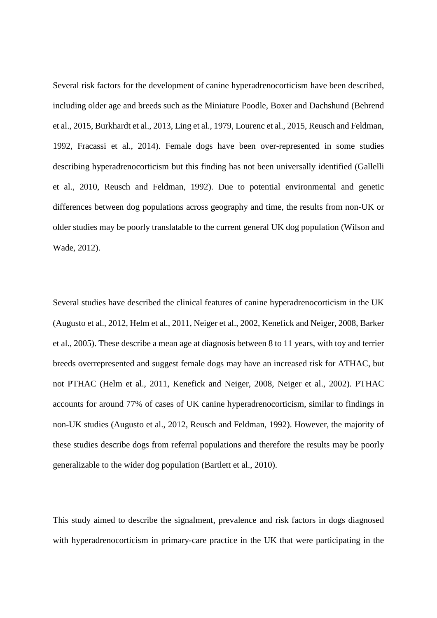Several risk factors for the development of canine hyperadrenocorticism have been described, including older age and breeds such as the Miniature Poodle, Boxer and Dachshund [\(Behrend](#page-26-0)  [et al., 2015,](#page-26-0) [Burkhardt et al., 2013,](#page-26-2) [Ling et al., 1979,](#page-28-1) [Lourenc et al., 2015,](#page-28-3) [Reusch and Feldman,](#page-29-0)  [1992,](#page-29-0) [Fracassi et al., 2014\)](#page-27-2). Female dogs have been over-represented in some studies describing hyperadrenocorticism but this finding has not been universally identified [\(Gallelli](#page-27-3)  [et al., 2010,](#page-27-3) [Reusch and Feldman, 1992\)](#page-29-0). Due to potential environmental and genetic differences between dog populations across geography and time, the results from non-UK or older studies may be poorly translatable to the current general UK dog population [\(Wilson and](#page-29-3)  [Wade, 2012\)](#page-29-3).

Several studies have described the clinical features of canine hyperadrenocorticism in the UK [\(Augusto et al., 2012,](#page-26-3) [Helm et al., 2011,](#page-27-4) [Neiger et al., 2002,](#page-28-4) [Kenefick and Neiger, 2008,](#page-27-5) [Barker](#page-26-4)  [et al., 2005\)](#page-26-4). These describe a mean age at diagnosis between 8 to 11 years, with toy and terrier breeds overrepresented and suggest female dogs may have an increased risk for ATHAC, but not PTHAC [\(Helm et al., 2011,](#page-27-4) [Kenefick and Neiger, 2008,](#page-27-5) [Neiger et al., 2002\)](#page-28-4). PTHAC accounts for around 77% of cases of UK canine hyperadrenocorticism, similar to findings in non-UK studies [\(Augusto et al., 2012,](#page-26-3) [Reusch and Feldman, 1992\)](#page-29-0). However, the majority of these studies describe dogs from referral populations and therefore the results may be poorly generalizable to the wider dog population [\(Bartlett et al., 2010\)](#page-26-5).

This study aimed to describe the signalment, prevalence and risk factors in dogs diagnosed with hyperadrenocorticism in primary-care practice in the UK that were participating in the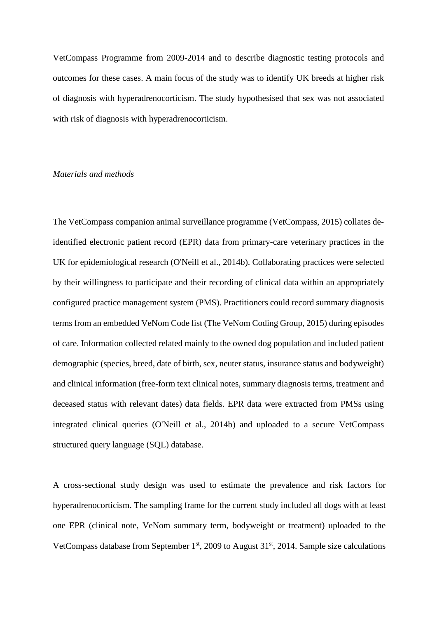VetCompass Programme from 2009-2014 and to describe diagnostic testing protocols and outcomes for these cases. A main focus of the study was to identify UK breeds at higher risk of diagnosis with hyperadrenocorticism. The study hypothesised that sex was not associated with risk of diagnosis with hyperadrenocorticism.

# *Materials and methods*

The VetCompass companion animal surveillance programme [\(VetCompass, 2015\)](#page-29-4) collates deidentified electronic patient record (EPR) data from primary-care veterinary practices in the UK for epidemiological research [\(O'Neill et al., 2014b\)](#page-28-5). Collaborating practices were selected by their willingness to participate and their recording of clinical data within an appropriately configured practice management system (PMS). Practitioners could record summary diagnosis terms from an embedded VeNom Code list [\(The VeNom Coding Group, 2015\)](#page-29-5) during episodes of care. Information collected related mainly to the owned dog population and included patient demographic (species, breed, date of birth, sex, neuter status, insurance status and bodyweight) and clinical information (free-form text clinical notes, summary diagnosis terms, treatment and deceased status with relevant dates) data fields. EPR data were extracted from PMSs using integrated clinical queries [\(O'Neill et al., 2014b\)](#page-28-5) and uploaded to a secure VetCompass structured query language (SQL) database.

A cross-sectional study design was used to estimate the prevalence and risk factors for hyperadrenocorticism. The sampling frame for the current study included all dogs with at least one EPR (clinical note, VeNom summary term, bodyweight or treatment) uploaded to the VetCompass database from September  $1<sup>st</sup>$ , 2009 to August  $31<sup>st</sup>$ , 2014. Sample size calculations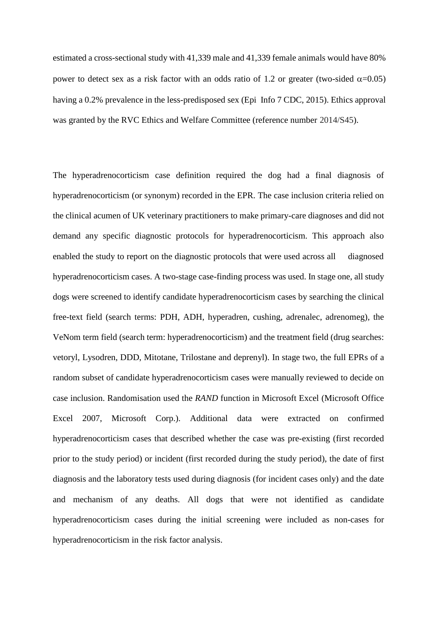estimated a cross-sectional study with 41,339 male and 41,339 female animals would have 80% power to detect sex as a risk factor with an odds ratio of 1.2 or greater (two-sided  $\alpha$ =0.05) having a 0.2% prevalence in the less-predisposed sex [\(Epi Info 7 CDC, 2015\)](#page-26-6). Ethics approval was granted by the RVC Ethics and Welfare Committee (reference number 2014/S45).

The hyperadrenocorticism case definition required the dog had a final diagnosis of hyperadrenocorticism (or synonym) recorded in the EPR. The case inclusion criteria relied on the clinical acumen of UK veterinary practitioners to make primary-care diagnoses and did not demand any specific diagnostic protocols for hyperadrenocorticism. This approach also enabled the study to report on the diagnostic protocols that were used across all diagnosed hyperadrenocorticism cases. A two-stage case-finding process was used. In stage one, all study dogs were screened to identify candidate hyperadrenocorticism cases by searching the clinical free-text field (search terms: PDH, ADH, hyperadren, cushing, adrenalec, adrenomeg)*,* the VeNom term field (search term: hyperadrenocorticism) and the treatment field (drug searches: vetoryl, Lysodren, DDD, Mitotane, Trilostane and deprenyl). In stage two, the full EPRs of a random subset of candidate hyperadrenocorticism cases were manually reviewed to decide on case inclusion. Randomisation used the *RAND* function in Microsoft Excel (Microsoft Office Excel 2007, Microsoft Corp.). Additional data were extracted on confirmed hyperadrenocorticism cases that described whether the case was pre-existing (first recorded prior to the study period) or incident (first recorded during the study period), the date of first diagnosis and the laboratory tests used during diagnosis (for incident cases only) and the date and mechanism of any deaths. All dogs that were not identified as candidate hyperadrenocorticism cases during the initial screening were included as non-cases for hyperadrenocorticism in the risk factor analysis.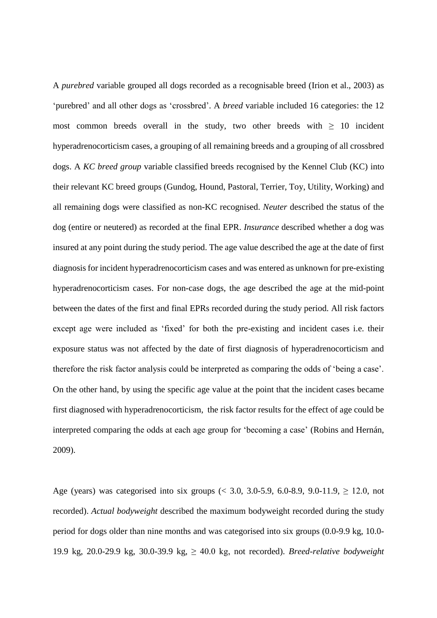A *purebred* variable grouped all dogs recorded as a recognisable breed [\(Irion et al., 2003\)](#page-27-6) as 'purebred' and all other dogs as 'crossbred'. A *breed* variable included 16 categories: the 12 most common breeds overall in the study, two other breeds with  $\geq 10$  incident hyperadrenocorticism cases, a grouping of all remaining breeds and a grouping of all crossbred dogs. A *KC breed group* variable classified breeds recognised by the Kennel Club (KC) into their relevant KC breed groups (Gundog, Hound, Pastoral, Terrier, Toy, Utility, Working) and all remaining dogs were classified as non-KC recognised. *Neuter* described the status of the dog (entire or neutered) as recorded at the final EPR. *Insurance* described whether a dog was insured at any point during the study period. The age value described the age at the date of first diagnosis for incident hyperadrenocorticism cases and was entered as unknown for pre-existing hyperadrenocorticism cases. For non-case dogs, the age described the age at the mid-point between the dates of the first and final EPRs recorded during the study period. All risk factors except age were included as 'fixed' for both the pre-existing and incident cases i.e. their exposure status was not affected by the date of first diagnosis of hyperadrenocorticism and therefore the risk factor analysis could be interpreted as comparing the odds of 'being a case'. On the other hand, by using the specific age value at the point that the incident cases became first diagnosed with hyperadrenocorticism, the risk factor results for the effect of age could be interpreted comparing the odds at each age group for 'becoming a case' [\(Robins and Hernán,](#page-29-6)  [2009\)](#page-29-6).

Age (years) was categorised into six groups (< 3.0, 3.0-5.9, 6.0-8.9, 9.0-11.9,  $\geq$  12.0, not recorded). *Actual bodyweight* described the maximum bodyweight recorded during the study period for dogs older than nine months and was categorised into six groups (0.0-9.9 kg, 10.0- 19.9 kg, 20.0-29.9 kg, 30.0-39.9 kg, ≥ 40.0 kg, not recorded). *Breed-relative bodyweight*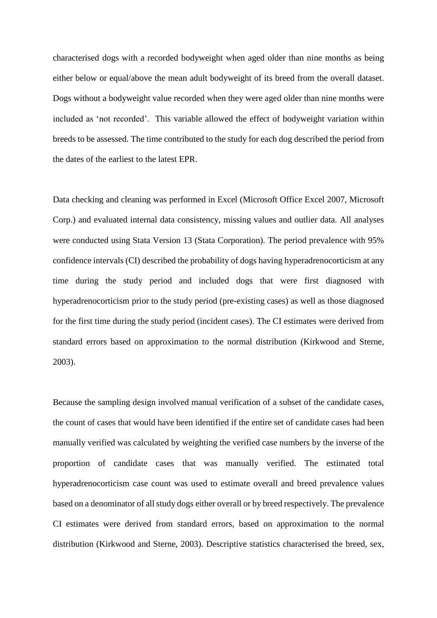characterised dogs with a recorded bodyweight when aged older than nine months as being either below or equal/above the mean adult bodyweight of its breed from the overall dataset. Dogs without a bodyweight value recorded when they were aged older than nine months were included as 'not recorded'. This variable allowed the effect of bodyweight variation within breeds to be assessed. The time contributed to the study for each dog described the period from the dates of the earliest to the latest EPR.

Data checking and cleaning was performed in Excel (Microsoft Office Excel 2007, Microsoft Corp.) and evaluated internal data consistency, missing values and outlier data. All analyses were conducted using Stata Version 13 (Stata Corporation). The period prevalence with 95% confidence intervals (CI) described the probability of dogs having hyperadrenocorticism at any time during the study period and included dogs that were first diagnosed with hyperadrenocorticism prior to the study period (pre-existing cases) as well as those diagnosed for the first time during the study period (incident cases). The CI estimates were derived from standard errors based on approximation to the normal distribution [\(Kirkwood and Sterne,](#page-28-6)  [2003\)](#page-28-6).

Because the sampling design involved manual verification of a subset of the candidate cases, the count of cases that would have been identified if the entire set of candidate cases had been manually verified was calculated by weighting the verified case numbers by the inverse of the proportion of candidate cases that was manually verified. The estimated total hyperadrenocorticism case count was used to estimate overall and breed prevalence values based on a denominator of all study dogs either overall or by breed respectively. The prevalence CI estimates were derived from standard errors, based on approximation to the normal distribution [\(Kirkwood and Sterne, 2003\)](#page-28-6). Descriptive statistics characterised the breed, sex,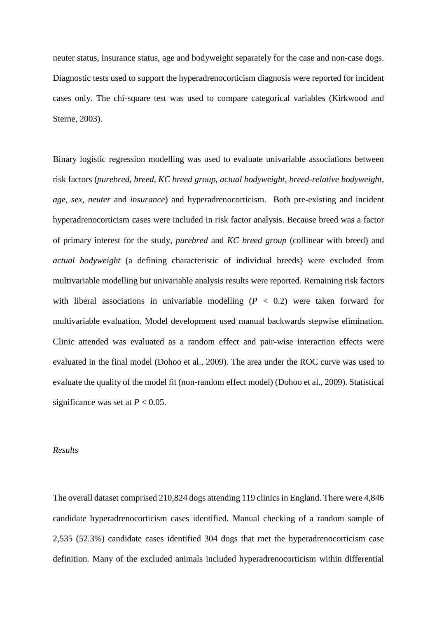neuter status, insurance status, age and bodyweight separately for the case and non-case dogs. Diagnostic tests used to support the hyperadrenocorticism diagnosis were reported for incident cases only. The chi-square test was used to compare categorical variables [\(Kirkwood and](#page-28-6)  [Sterne, 2003\)](#page-28-6).

Binary logistic regression modelling was used to evaluate univariable associations between risk factors (*purebred, breed, KC breed group, actual bodyweight, breed-relative bodyweight, age, sex, neuter* and *insurance*) and hyperadrenocorticism. Both pre-existing and incident hyperadrenocorticism cases were included in risk factor analysis. Because breed was a factor of primary interest for the study, *purebred* and *KC breed group* (collinear with breed) and *actual bodyweight* (a defining characteristic of individual breeds) were excluded from multivariable modelling but univariable analysis results were reported. Remaining risk factors with liberal associations in univariable modelling  $(P < 0.2)$  were taken forward for multivariable evaluation. Model development used manual backwards stepwise elimination. Clinic attended was evaluated as a random effect and pair-wise interaction effects were evaluated in the final model [\(Dohoo et al., 2009\)](#page-26-7). The area under the ROC curve was used to evaluate the quality of the model fit (non-random effect model) [\(Dohoo et al., 2009\)](#page-26-7). Statistical significance was set at  $P < 0.05$ .

#### *Results*

The overall dataset comprised 210,824 dogs attending 119 clinicsin England. There were 4,846 candidate hyperadrenocorticism cases identified. Manual checking of a random sample of 2,535 (52.3%) candidate cases identified 304 dogs that met the hyperadrenocorticism case definition. Many of the excluded animals included hyperadrenocorticism within differential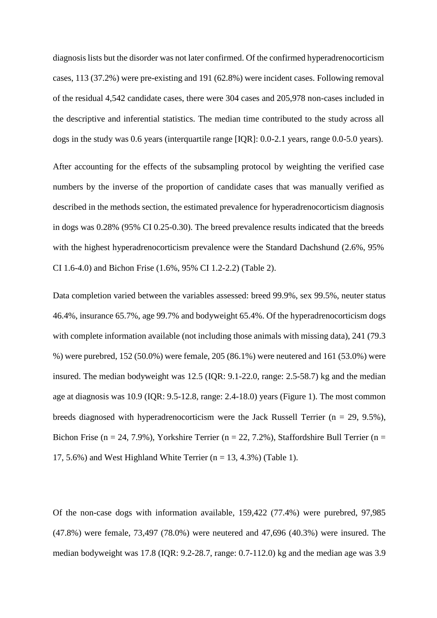diagnosis lists but the disorder was not later confirmed. Of the confirmed hyperadrenocorticism cases, 113 (37.2%) were pre-existing and 191 (62.8%) were incident cases. Following removal of the residual 4,542 candidate cases, there were 304 cases and 205,978 non-cases included in the descriptive and inferential statistics. The median time contributed to the study across all dogs in the study was 0.6 years (interquartile range [IQR]: 0.0-2.1 years, range 0.0-5.0 years).

After accounting for the effects of the subsampling protocol by weighting the verified case numbers by the inverse of the proportion of candidate cases that was manually verified as described in the methods section, the estimated prevalence for hyperadrenocorticism diagnosis in dogs was 0.28% (95% CI 0.25-0.30). The breed prevalence results indicated that the breeds with the highest hyperadrenocorticism prevalence were the Standard Dachshund (2.6%, 95%) CI 1.6-4.0) and Bichon Frise (1.6%, 95% CI 1.2-2.2) (Table 2).

Data completion varied between the variables assessed: breed 99.9%, sex 99.5%, neuter status 46.4%, insurance 65.7%, age 99.7% and bodyweight 65.4%. Of the hyperadrenocorticism dogs with complete information available (not including those animals with missing data), 241 (79.3) %) were purebred, 152 (50.0%) were female, 205 (86.1%) were neutered and 161 (53.0%) were insured. The median bodyweight was 12.5 (IQR: 9.1-22.0, range: 2.5-58.7) kg and the median age at diagnosis was 10.9 (IQR: 9.5-12.8, range: 2.4-18.0) years (Figure 1). The most common breeds diagnosed with hyperadrenocorticism were the Jack Russell Terrier ( $n = 29, 9.5\%$ ), Bichon Frise (n = 24, 7.9%), Yorkshire Terrier (n = 22, 7.2%), Staffordshire Bull Terrier (n = 17, 5.6%) and West Highland White Terrier ( $n = 13, 4.3$ %) (Table 1).

Of the non-case dogs with information available, 159,422 (77.4%) were purebred, 97,985 (47.8%) were female, 73,497 (78.0%) were neutered and 47,696 (40.3%) were insured. The median bodyweight was 17.8 (IQR: 9.2-28.7, range: 0.7-112.0) kg and the median age was 3.9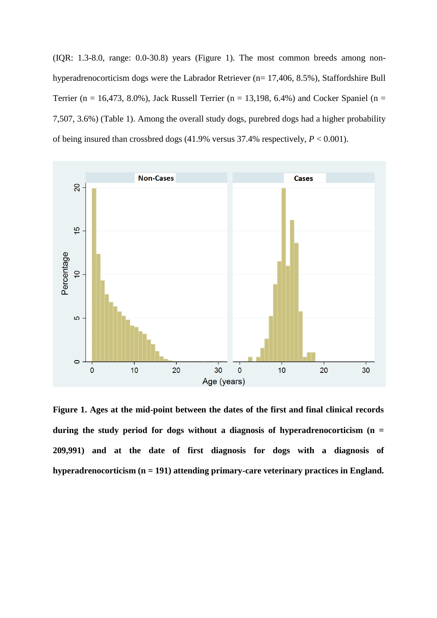(IQR: 1.3-8.0, range: 0.0-30.8) years (Figure 1). The most common breeds among nonhyperadrenocorticism dogs were the Labrador Retriever (n= 17,406, 8.5%), Staffordshire Bull Terrier (n = 16,473, 8.0%), Jack Russell Terrier (n = 13,198, 6.4%) and Cocker Spaniel (n = 7,507, 3.6%) (Table 1). Among the overall study dogs, purebred dogs had a higher probability of being insured than crossbred dogs (41.9% versus 37.4% respectively, *P* < 0.001).



**Figure 1. Ages at the mid-point between the dates of the first and final clinical records during the study period for dogs without a diagnosis of hyperadrenocorticism (n = 209,991) and at the date of first diagnosis for dogs with a diagnosis of hyperadrenocorticism (n = 191) attending primary-care veterinary practices in England.**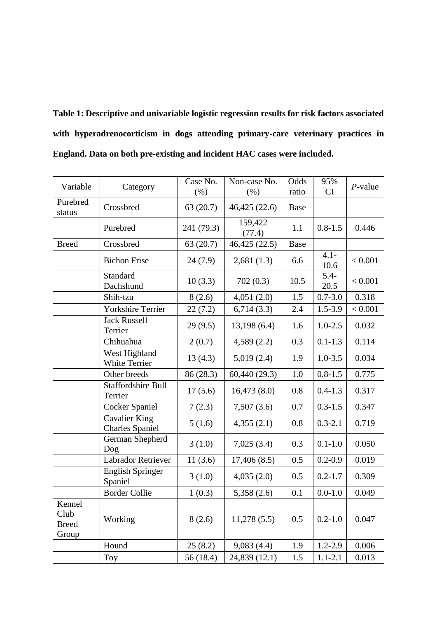| Table 1: Descriptive and univariable logistic regression results for risk factors associated |  |  |  |  |  |  |  |
|----------------------------------------------------------------------------------------------|--|--|--|--|--|--|--|
| with hyperadrenocorticism in dogs attending primary-care veterinary practices in             |  |  |  |  |  |  |  |
| England. Data on both pre-existing and incident HAC cases were included.                     |  |  |  |  |  |  |  |

| Variable                                | Category                                       | Case No.<br>(% ) | Non-case No.<br>$(\% )$ | Odds<br>ratio | 95%<br><b>CI</b> | $P$ -value |
|-----------------------------------------|------------------------------------------------|------------------|-------------------------|---------------|------------------|------------|
| Purebred<br>status                      | Crossbred                                      | 63(20.7)         | 46,425 (22.6)           | <b>Base</b>   |                  |            |
|                                         | Purebred                                       | 241 (79.3)       | 159,422<br>(77.4)       | 1.1           | $0.8 - 1.5$      | 0.446      |
| <b>Breed</b>                            | Crossbred                                      | 63(20.7)         | 46,425 (22.5)           | Base          |                  |            |
|                                         | <b>Bichon Frise</b>                            | 24(7.9)          | 2,681(1.3)              | 6.6           | $4.1 -$<br>10.6  | < 0.001    |
|                                         | <b>Standard</b><br>Dachshund                   | 10(3.3)          | 702(0.3)                | 10.5          | $5.4 -$<br>20.5  | < 0.001    |
|                                         | Shih-tzu                                       | 8(2.6)           | 4,051(2.0)              | 1.5           | $0.7 - 3.0$      | 0.318      |
|                                         | <b>Yorkshire Terrier</b>                       | 22(7.2)          | 6,714(3.3)              | 2.4           | $1.5 - 3.9$      | < 0.001    |
|                                         | <b>Jack Russell</b><br>Terrier                 | 29(9.5)          | 13,198(6.4)             | 1.6           | $1.0 - 2.5$      | 0.032      |
|                                         | Chihuahua                                      | 2(0.7)           | 4,589(2.2)              | 0.3           | $0.1 - 1.3$      | 0.114      |
|                                         | West Highland<br><b>White Terrier</b>          | 13(4.3)          | 5,019(2.4)              | 1.9           | $1.0 - 3.5$      | 0.034      |
|                                         | Other breeds                                   | 86 (28.3)        | 60,440 (29.3)           | 1.0           | $0.8 - 1.5$      | 0.775      |
|                                         | <b>Staffordshire Bull</b><br>Terrier           | 17(5.6)          | 16,473(8.0)             | 0.8           | $0.4 - 1.3$      | 0.317      |
|                                         | Cocker Spaniel                                 | 7(2.3)           | 7,507(3.6)              | 0.7           | $0.3 - 1.5$      | 0.347      |
|                                         | <b>Cavalier King</b><br><b>Charles Spaniel</b> | 5(1.6)           | 4,355(2.1)              | 0.8           | $0.3 - 2.1$      | 0.719      |
|                                         | German Shepherd<br>Dog                         | 3(1.0)           | 7,025(3.4)              | 0.3           | $0.1 - 1.0$      | 0.050      |
|                                         | <b>Labrador Retriever</b>                      | 11(3.6)          | 17,406(8.5)             | 0.5           | $0.2 - 0.9$      | 0.019      |
|                                         | <b>English Springer</b><br>Spaniel             | 3(1.0)           | 4,035(2.0)              | 0.5           | $0.2 - 1.7$      | 0.309      |
|                                         | <b>Border Collie</b>                           | 1(0.3)           | 5,358(2.6)              | 0.1           | $0.0 - 1.0$      | 0.049      |
| Kennel<br>Club<br><b>Breed</b><br>Group | Working                                        | 8(2.6)           | 11,278(5.5)             | 0.5           | $0.2 - 1.0$      | 0.047      |
|                                         | Hound                                          | 25(8.2)          | 9,083(4.4)              | 1.9           | $1.2 - 2.9$      | 0.006      |
|                                         | <b>Toy</b>                                     | 56 (18.4)        | 24,839 (12.1)           | 1.5           | $1.1 - 2.1$      | 0.013      |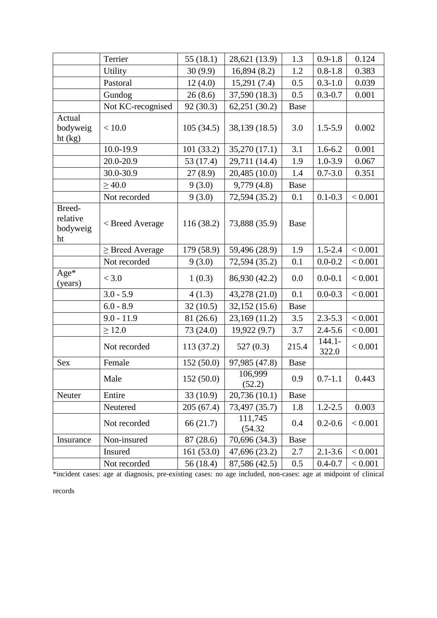|                                      | Terrier              | 55(18.1)   | 28,621 (13.9)      | 1.3         | $0.9 - 1.8$        | 0.124   |
|--------------------------------------|----------------------|------------|--------------------|-------------|--------------------|---------|
|                                      | Utility              | 30(9.9)    | 16,894(8.2)        | 1.2         | $0.8 - 1.8$        | 0.383   |
|                                      | Pastoral             | 12(4.0)    | 15,291(7.4)        | 0.5         | $0.3 - 1.0$        | 0.039   |
|                                      | Gundog               | 26(8.6)    | 37,590 (18.3)      | 0.5         | $0.3 - 0.7$        | 0.001   |
|                                      | Not KC-recognised    | 92(30.3)   | 62,251(30.2)       | Base        |                    |         |
| Actual<br>bodyweig<br>ht (kg)        | < 10.0               | 105(34.5)  | 38,139 (18.5)      | 3.0         | $1.5 - 5.9$        | 0.002   |
|                                      | 10.0-19.9            | 101(33.2)  | 35,270 (17.1)      | 3.1         | $1.6 - 6.2$        | 0.001   |
|                                      | 20.0-20.9            | 53 (17.4)  | 29,711 (14.4)      | 1.9         | $1.0 - 3.9$        | 0.067   |
|                                      | 30.0-30.9            | 27(8.9)    | 20,485 (10.0)      | 1.4         | $0.7 - 3.0$        | 0.351   |
|                                      | $\geq 40.0$          | 9(3.0)     | 9,779(4.8)         | Base        |                    |         |
|                                      | Not recorded         | 9(3.0)     | 72,594 (35.2)      | 0.1         | $0.1 - 0.3$        | < 0.001 |
| Breed-<br>relative<br>bodyweig<br>ht | < Breed Average      | 116 (38.2) | 73,888 (35.9)      | Base        |                    |         |
|                                      | $\geq$ Breed Average | 179 (58.9) | 59,496 (28.9)      | 1.9         | $1.5 - 2.4$        | < 0.001 |
|                                      | Not recorded         | 9(3.0)     | 72,594 (35.2)      | 0.1         | $0.0 - 0.2$        | < 0.001 |
| $Age*$<br>(years)                    | < 3.0                | 1(0.3)     | 86,930 (42.2)      | 0.0         | $0.0 - 0.1$        | < 0.001 |
|                                      | $3.0 - 5.9$          | 4(1.3)     | 43,278 (21.0)      | 0.1         | $0.0 - 0.3$        | < 0.001 |
|                                      | $6.0 - 8.9$          | 32(10.5)   | 32,152 (15.6)      | <b>Base</b> |                    |         |
|                                      | $9.0 - 11.9$         | 81 (26.6)  | 23,169 (11.2)      | 3.5         | $2.3 - 5.3$        | < 0.001 |
|                                      | $\geq$ 12.0          | 73 (24.0)  | 19,922(9.7)        | 3.7         | $2.4 - 5.6$        | < 0.001 |
|                                      | Not recorded         | 113 (37.2) | 527(0.3)           | 215.4       | $144.1 -$<br>322.0 | < 0.001 |
| Sex                                  | Female               | 152(50.0)  | 97,985 (47.8)      | Base        |                    |         |
|                                      | Male                 | 152(50.0)  | 106,999<br>(52.2)  | 0.9         | $0.7 - 1.1$        | 0.443   |
| Neuter                               | Entire               | 33(10.9)   | 20,736 (10.1)      | Base        |                    |         |
|                                      | Neutered             | 205(67.4)  | 73,497 (35.7)      | 1.8         | $1.2 - 2.5$        | 0.003   |
|                                      | Not recorded         | 66 (21.7)  | 111,745<br>(54.32) | 0.4         | $0.2 - 0.6$        | < 0.001 |
| Insurance                            | Non-insured          | 87 (28.6)  | 70,696 (34.3)      | <b>Base</b> |                    |         |
|                                      | Insured              | 161 (53.0) | 47,696 (23.2)      | 2.7         | $2.1 - 3.6$        | < 0.001 |
|                                      | Not recorded         | 56 (18.4)  | 87,586 (42.5)      | 0.5         | $0.4 - 0.7$        | < 0.001 |

\*incident cases: age at diagnosis, pre-existing cases: no age included, non-cases: age at midpoint of clinical

records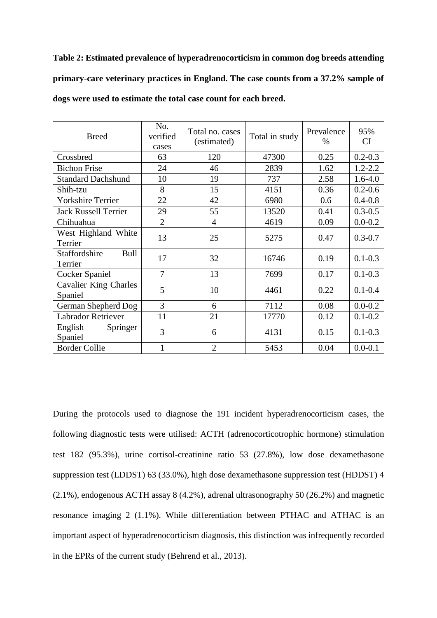**Table 2: Estimated prevalence of hyperadrenocorticism in common dog breeds attending primary-care veterinary practices in England. The case counts from a 37.2% sample of dogs were used to estimate the total case count for each breed.**

| <b>Breed</b>                            | No.<br>verified<br>cases | Total no. cases<br>(estimated) | Total in study | Prevalence<br>$\%$ | 95%<br><b>CI</b> |
|-----------------------------------------|--------------------------|--------------------------------|----------------|--------------------|------------------|
| Crossbred                               | 63                       | 120                            | 47300          | 0.25               | $0.2 - 0.3$      |
| <b>Bichon Frise</b>                     | 24                       | 46                             | 2839           | 1.62               | $1.2 - 2.2$      |
| <b>Standard Dachshund</b>               | 10                       | 19                             | 737            | 2.58               | $1.6 - 4.0$      |
| Shih-tzu                                | 8                        | 15                             | 4151           | 0.36               | $0.2 - 0.6$      |
| <b>Yorkshire Terrier</b>                | 22                       | 42                             | 6980           | 0.6                | $0.4 - 0.8$      |
| <b>Jack Russell Terrier</b>             | 29                       | 55                             | 13520          | 0.41               | $0.3 - 0.5$      |
| Chihuahua                               | $\overline{2}$           | 4                              | 4619           | 0.09               | $0.0 - 0.2$      |
| West Highland White<br>Terrier          | 13                       | 25                             | 5275           | 0.47               | $0.3 - 0.7$      |
| Staffordshire<br>Bull<br>Terrier        | 17                       | 32                             | 16746          | 0.19               | $0.1 - 0.3$      |
| Cocker Spaniel                          | 7                        | 13                             | 7699           | 0.17               | $0.1 - 0.3$      |
| <b>Cavalier King Charles</b><br>Spaniel | 5                        | 10                             | 4461           | 0.22               | $0.1 - 0.4$      |
| German Shepherd Dog                     | 3                        | 6                              | 7112           | 0.08               | $0.0 - 0.2$      |
| <b>Labrador Retriever</b>               | 11                       | 21                             | 17770          | 0.12               | $0.1 - 0.2$      |
| English<br>Springer<br>Spaniel          | 3                        | 6                              | 4131           | 0.15               | $0.1 - 0.3$      |
| <b>Border Collie</b>                    | 1                        | $\overline{2}$                 | 5453           | 0.04               | $0.0 - 0.1$      |

During the protocols used to diagnose the 191 incident hyperadrenocorticism cases, the following diagnostic tests were utilised: ACTH (adrenocorticotrophic hormone) stimulation test 182 (95.3%), urine cortisol-creatinine ratio 53 (27.8%), low dose dexamethasone suppression test (LDDST) 63 (33.0%), high dose dexamethasone suppression test (HDDST) 4 (2.1%), endogenous ACTH assay 8 (4.2%), adrenal ultrasonography 50 (26.2%) and magnetic resonance imaging 2 (1.1%). While differentiation between PTHAC and ATHAC is an important aspect of hyperadrenocorticism diagnosis, this distinction was infrequently recorded in the EPRs of the current study [\(Behrend et al., 2013\)](#page-26-8).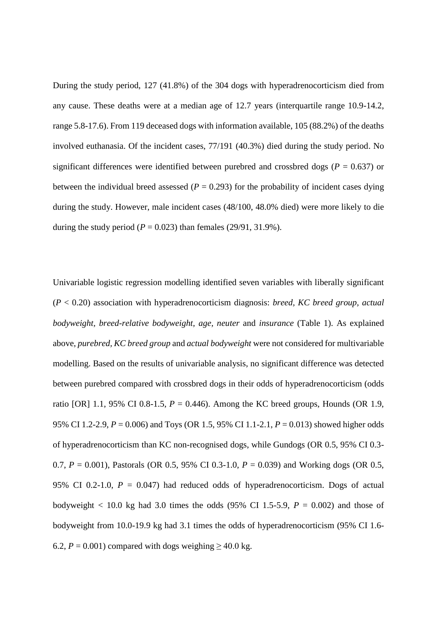During the study period, 127 (41.8%) of the 304 dogs with hyperadrenocorticism died from any cause. These deaths were at a median age of 12.7 years (interquartile range 10.9-14.2, range 5.8-17.6). From 119 deceased dogs with information available, 105 (88.2%) of the deaths involved euthanasia. Of the incident cases, 77/191 (40.3%) died during the study period. No significant differences were identified between purebred and crossbred dogs ( $P = 0.637$ ) or between the individual breed assessed  $(P = 0.293)$  for the probability of incident cases dying during the study. However, male incident cases (48/100, 48.0% died) were more likely to die during the study period ( $P = 0.023$ ) than females (29/91, 31.9%).

Univariable logistic regression modelling identified seven variables with liberally significant (*P* < 0.20) association with hyperadrenocorticism diagnosis: *breed, KC breed group, actual bodyweight, breed-relative bodyweight, age, neuter* and *insurance* (Table 1). As explained above, *purebred, KC breed group* and *actual bodyweight* were not considered for multivariable modelling. Based on the results of univariable analysis, no significant difference was detected between purebred compared with crossbred dogs in their odds of hyperadrenocorticism (odds ratio [OR] 1.1, 95% CI 0.8-1.5, *P* = 0.446). Among the KC breed groups, Hounds (OR 1.9, 95% CI 1.2-2.9, *P* = 0.006) and Toys (OR 1.5, 95% CI 1.1-2.1, *P* = 0.013) showed higher odds of hyperadrenocorticism than KC non-recognised dogs, while Gundogs (OR 0.5, 95% CI 0.3- 0.7, *P* = 0.001), Pastorals (OR 0.5, 95% CI 0.3-1.0, *P* = 0.039) and Working dogs (OR 0.5, 95% CI 0.2-1.0,  $P = 0.047$ ) had reduced odds of hyperadrenocorticism. Dogs of actual bodyweight  $<$  10.0 kg had 3.0 times the odds (95% CI 1.5-5.9,  $P = 0.002$ ) and those of bodyweight from 10.0-19.9 kg had 3.1 times the odds of hyperadrenocorticism (95% CI 1.6- 6.2,  $P = 0.001$ ) compared with dogs weighing  $\geq 40.0$  kg.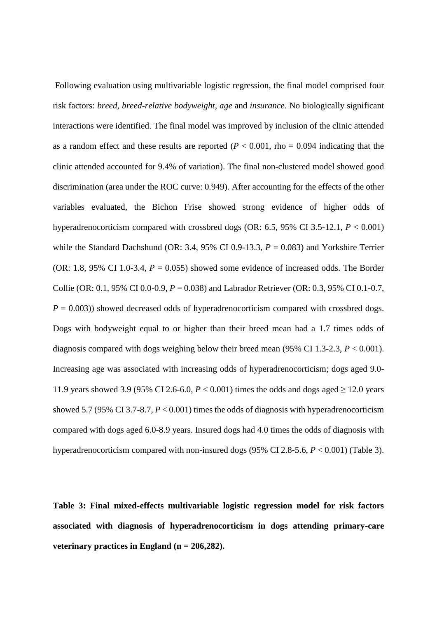Following evaluation using multivariable logistic regression, the final model comprised four risk factors: *breed, breed-relative bodyweight, age* and *insurance*. No biologically significant interactions were identified. The final model was improved by inclusion of the clinic attended as a random effect and these results are reported  $(P < 0.001$ , rho = 0.094 indicating that the clinic attended accounted for 9.4% of variation). The final non-clustered model showed good discrimination (area under the ROC curve: 0.949). After accounting for the effects of the other variables evaluated, the Bichon Frise showed strong evidence of higher odds of hyperadrenocorticism compared with crossbred dogs (OR: 6.5, 95% CI 3.5-12.1, *P* < 0.001) while the Standard Dachshund (OR: 3.4, 95% CI 0.9-13.3,  $P = 0.083$ ) and Yorkshire Terrier (OR: 1.8, 95% CI 1.0-3.4,  $P = 0.055$ ) showed some evidence of increased odds. The Border Collie (OR: 0.1, 95% CI 0.0-0.9, *P* = 0.038) and Labrador Retriever (OR: 0.3, 95% CI 0.1-0.7,  $P = 0.003$ ) showed decreased odds of hyperadrenocorticism compared with crossbred dogs. Dogs with bodyweight equal to or higher than their breed mean had a 1.7 times odds of diagnosis compared with dogs weighing below their breed mean (95% CI 1.3-2.3, *P* < 0.001). Increasing age was associated with increasing odds of hyperadrenocorticism; dogs aged 9.0- 11.9 years showed 3.9 (95% CI 2.6-6.0,  $P < 0.001$ ) times the odds and dogs aged  $> 12.0$  years showed 5.7 (95% CI 3.7-8.7, *P* < 0.001) times the odds of diagnosis with hyperadrenocorticism compared with dogs aged 6.0-8.9 years. Insured dogs had 4.0 times the odds of diagnosis with hyperadrenocorticism compared with non-insured dogs (95% CI 2.8-5.6, *P* < 0.001) (Table 3).

**Table 3: Final mixed-effects multivariable logistic regression model for risk factors associated with diagnosis of hyperadrenocorticism in dogs attending primary-care veterinary practices in England (n = 206,282).**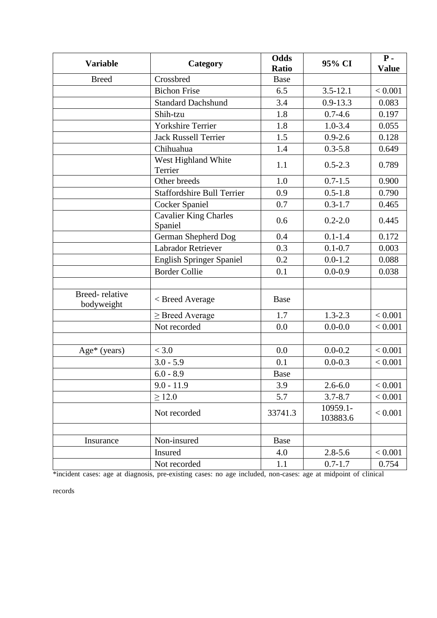| <b>Variable</b>              | Category                                | <b>Odds</b><br><b>Ratio</b> | 95% CI               | $P -$<br><b>Value</b> |
|------------------------------|-----------------------------------------|-----------------------------|----------------------|-----------------------|
| <b>Breed</b>                 | Crossbred                               | <b>Base</b>                 |                      |                       |
|                              | <b>Bichon Frise</b>                     | 6.5                         | $3.5 - 12.1$         | < 0.001               |
|                              | <b>Standard Dachshund</b>               | 3.4                         | $0.9 - 13.3$         | 0.083                 |
|                              | Shih-tzu                                | 1.8                         | $0.7 - 4.6$          | 0.197                 |
|                              | <b>Yorkshire Terrier</b>                | 1.8                         | $1.0 - 3.4$          | 0.055                 |
|                              | <b>Jack Russell Terrier</b>             | 1.5                         | $0.9 - 2.6$          | 0.128                 |
|                              | Chihuahua                               | 1.4                         | $0.3 - 5.8$          | 0.649                 |
|                              | West Highland White<br>Terrier          | 1.1                         | $0.5 - 2.3$          | 0.789                 |
|                              | Other breeds                            | 1.0                         | $0.7 - 1.5$          | 0.900                 |
|                              | <b>Staffordshire Bull Terrier</b>       | 0.9                         | $0.5 - 1.8$          | 0.790                 |
|                              | <b>Cocker Spaniel</b>                   | 0.7                         | $0.3 - 1.7$          | 0.465                 |
|                              | <b>Cavalier King Charles</b><br>Spaniel | 0.6                         | $0.2 - 2.0$          | 0.445                 |
|                              | German Shepherd Dog                     | 0.4                         | $0.1 - 1.4$          | 0.172                 |
|                              | <b>Labrador Retriever</b>               | 0.3                         | $0.1 - 0.7$          | 0.003                 |
|                              | <b>English Springer Spaniel</b>         | 0.2                         | $0.0 - 1.2$          | 0.088                 |
|                              | <b>Border Collie</b>                    | 0.1                         | $0.0 - 0.9$          | 0.038                 |
|                              |                                         |                             |                      |                       |
| Breed-relative<br>bodyweight | < Breed Average                         | Base                        |                      |                       |
|                              | $\geq$ Breed Average                    | 1.7                         | $1.3 - 2.3$          | < 0.001               |
|                              | Not recorded                            | 0.0                         | $0.0 - 0.0$          | < 0.001               |
|                              |                                         |                             |                      |                       |
| $Age*$ (years)               | < 3.0                                   | 0.0                         | $0.0 - 0.2$          | < 0.001               |
|                              | $3.0 - 5.9$                             | 0.1                         | $0.0 - 0.3$          | < 0.001               |
|                              | $6.0 - 8.9$                             | <b>Base</b>                 |                      |                       |
|                              | $9.0 - 11.9$                            | 3.9                         | $2.6 - 6.0$          | < 0.001               |
|                              | $\geq$ 12.0                             | 5.7                         | $3.7 - 8.7$          | < 0.001               |
|                              | Not recorded                            | 33741.3                     | 10959.1-<br>103883.6 | < 0.001               |
|                              |                                         |                             |                      |                       |
| Insurance                    | Non-insured                             | Base                        |                      |                       |
|                              | Insured                                 | 4.0                         | $2.8 - 5.6$          | < 0.001               |
|                              | Not recorded                            | 1.1                         | $0.7 - 1.7$          | 0.754                 |

\*incident cases: age at diagnosis, pre-existing cases: no age included, non-cases: age at midpoint of clinical

records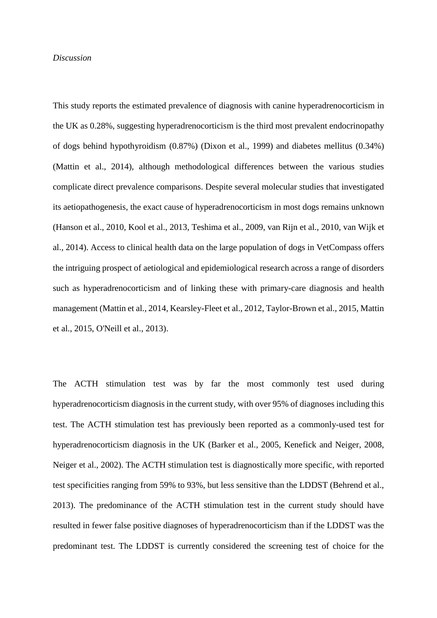#### *Discussion*

This study reports the estimated prevalence of diagnosis with canine hyperadrenocorticism in the UK as 0.28%, suggesting hyperadrenocorticism is the third most prevalent endocrinopathy of dogs behind hypothyroidism (0.87%) [\(Dixon et al., 1999\)](#page-26-9) and diabetes mellitus (0.34%) [\(Mattin et al., 2014\)](#page-28-7), although methodological differences between the various studies complicate direct prevalence comparisons. Despite several molecular studies that investigated its aetiopathogenesis, the exact cause of hyperadrenocorticism in most dogs remains unknown [\(Hanson et al., 2010,](#page-27-7) [Kool et al., 2013,](#page-28-8) [Teshima et al., 2009,](#page-29-7) [van Rijn et al., 2010,](#page-29-8) [van Wijk et](#page-29-9)  [al., 2014\)](#page-29-9). Access to clinical health data on the large population of dogs in VetCompass offers the intriguing prospect of aetiological and epidemiological research across a range of disorders such as hyperadrenocorticism and of linking these with primary-care diagnosis and health management [\(Mattin et al., 2014,](#page-28-7) [Kearsley-Fleet et al., 2012,](#page-27-8) [Taylor-Brown et al., 2015,](#page-29-10) [Mattin](#page-28-9)  [et al., 2015,](#page-28-9) [O'Neill et al., 2013\)](#page-28-10).

The ACTH stimulation test was by far the most commonly test used during hyperadrenocorticism diagnosis in the current study, with over 95% of diagnoses including this test. The ACTH stimulation test has previously been reported as a commonly-used test for hyperadrenocorticism diagnosis in the UK [\(Barker et al., 2005,](#page-26-4) [Kenefick and Neiger, 2008,](#page-27-5) [Neiger et al., 2002\)](#page-28-4). The ACTH stimulation test is diagnostically more specific, with reported test specificities ranging from 59% to 93%, but less sensitive than the LDDST [\(Behrend et al.,](#page-26-8)  [2013\)](#page-26-8). The predominance of the ACTH stimulation test in the current study should have resulted in fewer false positive diagnoses of hyperadrenocorticism than if the LDDST was the predominant test. The LDDST is currently considered the screening test of choice for the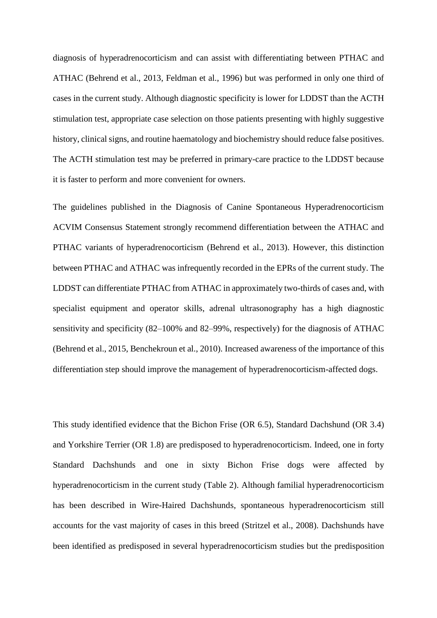diagnosis of hyperadrenocorticism and can assist with differentiating between PTHAC and ATHAC [\(Behrend et al., 2013,](#page-26-8) [Feldman et al., 1996\)](#page-26-10) but was performed in only one third of cases in the current study. Although diagnostic specificity is lower for LDDST than the ACTH stimulation test, appropriate case selection on those patients presenting with highly suggestive history, clinical signs, and routine haematology and biochemistry should reduce false positives. The ACTH stimulation test may be preferred in primary-care practice to the LDDST because it is faster to perform and more convenient for owners.

The guidelines published in the Diagnosis of Canine Spontaneous Hyperadrenocorticism ACVIM Consensus Statement strongly recommend differentiation between the ATHAC and PTHAC variants of hyperadrenocorticism [\(Behrend et al., 2013\)](#page-26-8). However, this distinction between PTHAC and ATHAC was infrequently recorded in the EPRs of the current study. The LDDST can differentiate PTHAC from ATHAC in approximately two-thirds of cases and, with specialist equipment and operator skills, adrenal ultrasonography has a high diagnostic sensitivity and specificity (82–100% and 82–99%, respectively) for the diagnosis of ATHAC [\(Behrend et al., 2015,](#page-26-0) [Benchekroun et al., 2010\)](#page-26-11). Increased awareness of the importance of this differentiation step should improve the management of hyperadrenocorticism-affected dogs.

This study identified evidence that the Bichon Frise (OR 6.5), Standard Dachshund (OR 3.4) and Yorkshire Terrier (OR 1.8) are predisposed to hyperadrenocorticism. Indeed, one in forty Standard Dachshunds and one in sixty Bichon Frise dogs were affected by hyperadrenocorticism in the current study (Table 2). Although familial hyperadrenocorticism has been described in Wire-Haired Dachshunds, spontaneous hyperadrenocorticism still accounts for the vast majority of cases in this breed [\(Stritzel et al., 2008\)](#page-29-11). Dachshunds have been identified as predisposed in several hyperadrenocorticism studies but the predisposition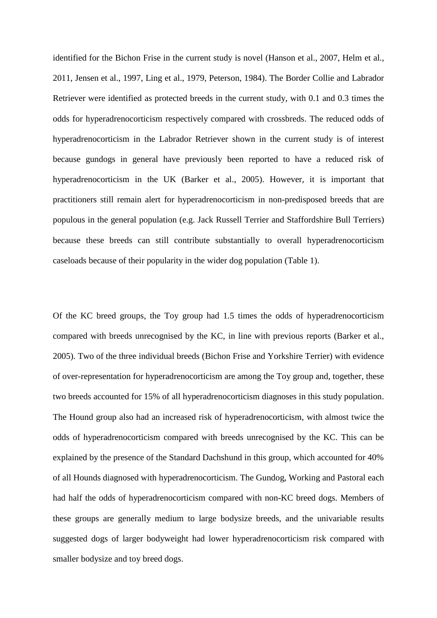identified for the Bichon Frise in the current study is novel [\(Hanson et al., 2007,](#page-27-9) [Helm et al.,](#page-27-4)  [2011,](#page-27-4) [Jensen et al., 1997,](#page-27-10) [Ling et al., 1979,](#page-28-1) [Peterson, 1984\)](#page-29-12). The Border Collie and Labrador Retriever were identified as protected breeds in the current study, with 0.1 and 0.3 times the odds for hyperadrenocorticism respectively compared with crossbreds. The reduced odds of hyperadrenocorticism in the Labrador Retriever shown in the current study is of interest because gundogs in general have previously been reported to have a reduced risk of hyperadrenocorticism in the UK [\(Barker et al., 2005\)](#page-26-4). However, it is important that practitioners still remain alert for hyperadrenocorticism in non-predisposed breeds that are populous in the general population (e.g. Jack Russell Terrier and Staffordshire Bull Terriers) because these breeds can still contribute substantially to overall hyperadrenocorticism caseloads because of their popularity in the wider dog population (Table 1).

Of the KC breed groups, the Toy group had 1.5 times the odds of hyperadrenocorticism compared with breeds unrecognised by the KC, in line with previous reports [\(Barker et al.,](#page-26-4)  [2005\)](#page-26-4). Two of the three individual breeds (Bichon Frise and Yorkshire Terrier) with evidence of over-representation for hyperadrenocorticism are among the Toy group and, together, these two breeds accounted for 15% of all hyperadrenocorticism diagnoses in this study population. The Hound group also had an increased risk of hyperadrenocorticism, with almost twice the odds of hyperadrenocorticism compared with breeds unrecognised by the KC. This can be explained by the presence of the Standard Dachshund in this group, which accounted for 40% of all Hounds diagnosed with hyperadrenocorticism. The Gundog, Working and Pastoral each had half the odds of hyperadrenocorticism compared with non-KC breed dogs. Members of these groups are generally medium to large bodysize breeds, and the univariable results suggested dogs of larger bodyweight had lower hyperadrenocorticism risk compared with smaller bodysize and toy breed dogs.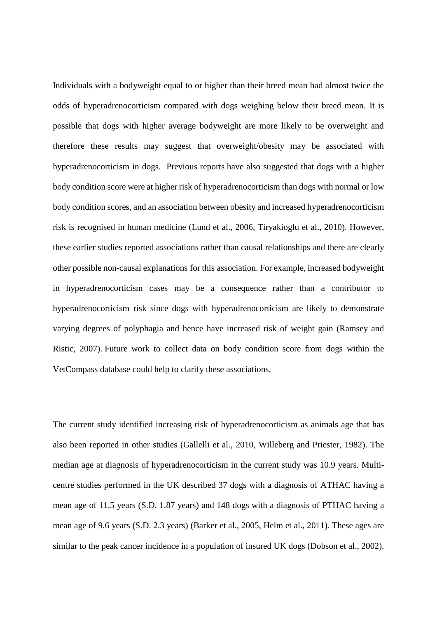Individuals with a bodyweight equal to or higher than their breed mean had almost twice the odds of hyperadrenocorticism compared with dogs weighing below their breed mean. It is possible that dogs with higher average bodyweight are more likely to be overweight and therefore these results may suggest that overweight/obesity may be associated with hyperadrenocorticism in dogs. Previous reports have also suggested that dogs with a higher body condition score were at higher risk of hyperadrenocorticism than dogs with normal or low body condition scores, and an association between obesity and increased hyperadrenocorticism risk is recognised in human medicine [\(Lund et al., 2006,](#page-28-11) [Tiryakioglu et al., 2010\)](#page-29-13). However, these earlier studies reported associations rather than causal relationships and there are clearly other possible non-causal explanations for this association. For example, increased bodyweight in hyperadrenocorticism cases may be a consequence rather than a contributor to hyperadrenocorticism risk since dogs with hyperadrenocorticism are likely to demonstrate varying degrees of polyphagia and hence have increased risk of weight gain [\(Ramsey and](#page-29-14)  [Ristic, 2007\)](#page-29-14). Future work to collect data on body condition score from dogs within the VetCompass database could help to clarify these associations.

The current study identified increasing risk of hyperadrenocorticism as animals age that has also been reported in other studies [\(Gallelli et al., 2010,](#page-27-3) [Willeberg and Priester, 1982\)](#page-29-2). The median age at diagnosis of hyperadrenocorticism in the current study was 10.9 years. Multicentre studies performed in the UK described 37 dogs with a diagnosis of ATHAC having a mean age of 11.5 years (S.D. 1.87 years) and 148 dogs with a diagnosis of PTHAC having a mean age of 9.6 years (S.D. 2.3 years) [\(Barker et al., 2005,](#page-26-4) [Helm et al., 2011\)](#page-27-4). These ages are similar to the peak cancer incidence in a population of insured UK dogs [\(Dobson et al., 2002\)](#page-26-12).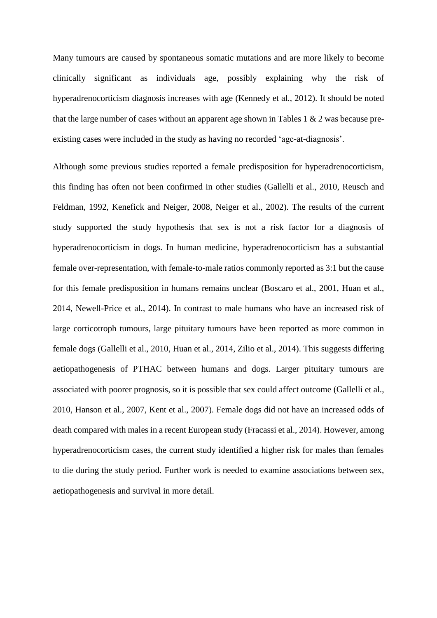Many tumours are caused by spontaneous somatic mutations and are more likely to become clinically significant as individuals age, possibly explaining why the risk of hyperadrenocorticism diagnosis increases with age [\(Kennedy et al., 2012\)](#page-28-12). It should be noted that the large number of cases without an apparent age shown in Tables 1  $\&$  2 was because preexisting cases were included in the study as having no recorded 'age-at-diagnosis'.

Although some previous studies reported a female predisposition for hyperadrenocorticism, this finding has often not been confirmed in other studies [\(Gallelli et al., 2010,](#page-27-3) [Reusch and](#page-29-0)  [Feldman, 1992,](#page-29-0) [Kenefick and Neiger, 2008,](#page-27-5) [Neiger et al., 2002\)](#page-28-4). The results of the current study supported the study hypothesis that sex is not a risk factor for a diagnosis of hyperadrenocorticism in dogs. In human medicine, hyperadrenocorticism has a substantial female over-representation, with female-to-male ratios commonly reported as 3:1 but the cause for this female predisposition in humans remains unclear [\(Boscaro et al., 2001,](#page-26-13) [Huan et al.,](#page-27-11)  [2014,](#page-27-11) [Newell-Price et](#page-28-13) al., 2014). In contrast to male humans who have an increased risk of large corticotroph tumours, large pituitary tumours have been reported as more common in female dogs [\(Gallelli et al., 2010,](#page-27-3) [Huan et al., 2014,](#page-27-11) [Zilio et al., 2014\)](#page-30-0). This suggests differing aetiopathogenesis of PTHAC between humans and dogs. Larger pituitary tumours are associated with poorer prognosis, so it is possible that sex could affect outcome [\(Gallelli et al.,](#page-27-3)  [2010,](#page-27-3) [Hanson et al., 2007,](#page-27-9) [Kent et al., 2007\)](#page-28-14). Female dogs did not have an increased odds of death compared with males in a recent European study [\(Fracassi et al., 2014\)](#page-27-2). However, among hyperadrenocorticism cases, the current study identified a higher risk for males than females to die during the study period. Further work is needed to examine associations between sex, aetiopathogenesis and survival in more detail.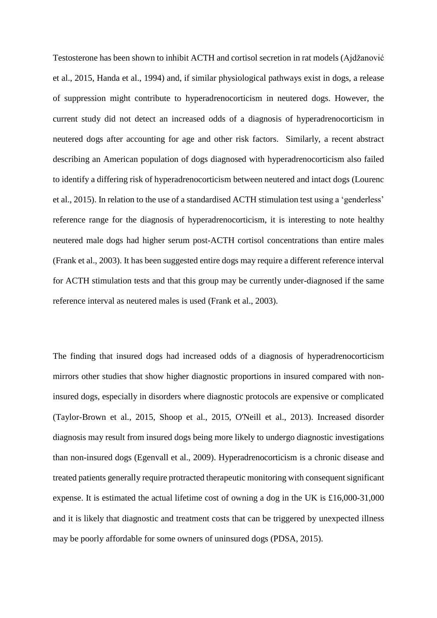Testosterone has been shown to inhibit ACTH and cortisol secretion in rat models [\(Ajdžanović](#page-25-0)  [et al., 2015,](#page-25-0) [Handa et al., 1994\)](#page-27-12) and, if similar physiological pathways exist in dogs, a release of suppression might contribute to hyperadrenocorticism in neutered dogs. However, the current study did not detect an increased odds of a diagnosis of hyperadrenocorticism in neutered dogs after accounting for age and other risk factors. Similarly, a recent abstract describing an American population of dogs diagnosed with hyperadrenocorticism also failed to identify a differing risk of hyperadrenocorticism between neutered and intact dogs [\(Lourenc](#page-28-3)  [et al., 2015\)](#page-28-3). In relation to the use of a standardised ACTH stimulation test using a 'genderless' reference range for the diagnosis of hyperadrenocorticism, it is interesting to note healthy neutered male dogs had higher serum post-ACTH cortisol concentrations than entire males [\(Frank et al., 2003\)](#page-27-13). It has been suggested entire dogs may require a different reference interval for ACTH stimulation tests and that this group may be currently under-diagnosed if the same reference interval as neutered males is used [\(Frank et al., 2003\)](#page-27-13).

The finding that insured dogs had increased odds of a diagnosis of hyperadrenocorticism mirrors other studies that show higher diagnostic proportions in insured compared with noninsured dogs, especially in disorders where diagnostic protocols are expensive or complicated [\(Taylor-Brown et al., 2015,](#page-29-10) [Shoop et al., 2015,](#page-29-15) [O'Neill et al., 2013\)](#page-28-10). Increased disorder diagnosis may result from insured dogs being more likely to undergo diagnostic investigations than non-insured dogs [\(Egenvall et al., 2009\)](#page-26-14). Hyperadrenocorticism is a chronic disease and treated patients generally require protracted therapeutic monitoring with consequent significant expense. It is estimated the actual lifetime cost of owning a dog in the UK is £16,000-31,000 and it is likely that diagnostic and treatment costs that can be triggered by unexpected illness may be poorly affordable for some owners of uninsured dogs [\(PDSA, 2015\)](#page-28-15).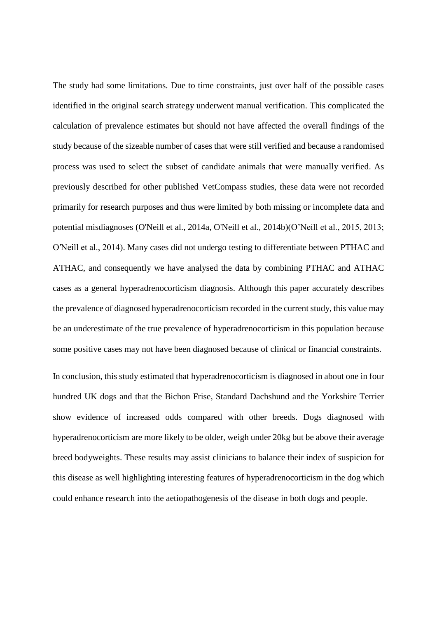The study had some limitations. Due to time constraints, just over half of the possible cases identified in the original search strategy underwent manual verification. This complicated the calculation of prevalence estimates but should not have affected the overall findings of the study because of the sizeable number of cases that were still verified and because a randomised process was used to select the subset of candidate animals that were manually verified. As previously described for other published VetCompass studies, these data were not recorded primarily for research purposes and thus were limited by both missing or incomplete data and potential misdiagnoses [\(O'Neill et al., 2014a,](#page-28-16) [O'Neill et al., 2014b\)](#page-28-5)(O'Neill et al., 2015, 2013; O′Neill et al., 2014). Many cases did not undergo testing to differentiate between PTHAC and ATHAC, and consequently we have analysed the data by combining PTHAC and ATHAC cases as a general hyperadrenocorticism diagnosis. Although this paper accurately describes the prevalence of diagnosed hyperadrenocorticism recorded in the current study, this value may be an underestimate of the true prevalence of hyperadrenocorticism in this population because some positive cases may not have been diagnosed because of clinical or financial constraints.

In conclusion, this study estimated that hyperadrenocorticism is diagnosed in about one in four hundred UK dogs and that the Bichon Frise, Standard Dachshund and the Yorkshire Terrier show evidence of increased odds compared with other breeds. Dogs diagnosed with hyperadrenocorticism are more likely to be older, weigh under 20kg but be above their average breed bodyweights. These results may assist clinicians to balance their index of suspicion for this disease as well highlighting interesting features of hyperadrenocorticism in the dog which could enhance research into the aetiopathogenesis of the disease in both dogs and people.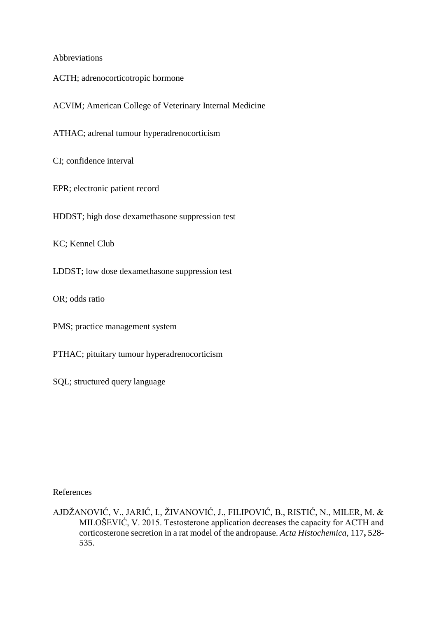# Abbreviations

- ACTH; adrenocorticotropic hormone
- ACVIM; American College of Veterinary Internal Medicine

ATHAC; adrenal tumour hyperadrenocorticism

CI; confidence interval

EPR; electronic patient record

HDDST; high dose dexamethasone suppression test

KC; Kennel Club

LDDST; low dose dexamethasone suppression test

OR; odds ratio

PMS; practice management system

PTHAC; pituitary tumour hyperadrenocorticism

SQL; structured query language

References

<span id="page-25-0"></span>AJDŽANOVIĆ, V., JARIĆ, I., ŽIVANOVIĆ, J., FILIPOVIĆ, B., RISTIĆ, N., MILER, M. & MILOŠEVIĆ, V. 2015. Testosterone application decreases the capacity for ACTH and corticosterone secretion in a rat model of the andropause. *Acta Histochemica,* 117**,** 528- 535.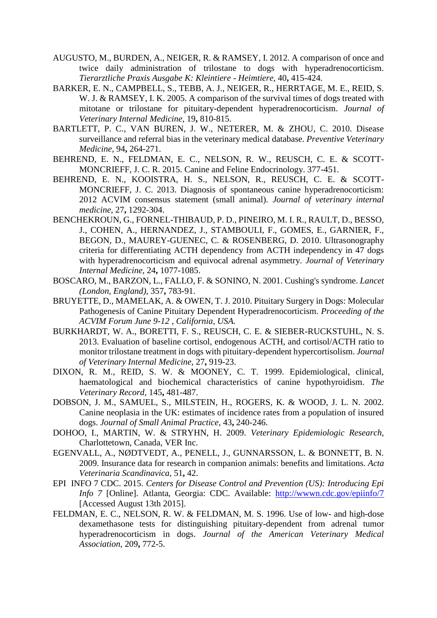- <span id="page-26-3"></span>AUGUSTO, M., BURDEN, A., NEIGER, R. & RAMSEY, I. 2012. A comparison of once and twice daily administration of trilostane to dogs with hyperadrenocorticism. *Tierarztliche Praxis Ausgabe K: Kleintiere - Heimtiere,* 40**,** 415-424.
- <span id="page-26-4"></span>BARKER, E. N., CAMPBELL, S., TEBB, A. J., NEIGER, R., HERRTAGE, M. E., REID, S. W. J. & RAMSEY, I. K. 2005. A comparison of the survival times of dogs treated with mitotane or trilostane for pituitary-dependent hyperadrenocorticism. *Journal of Veterinary Internal Medicine,* 19**,** 810-815.
- <span id="page-26-5"></span>BARTLETT, P. C., VAN BUREN, J. W., NETERER, M. & ZHOU, C. 2010. Disease surveillance and referral bias in the veterinary medical database. *Preventive Veterinary Medicine,* 94**,** 264-271.
- <span id="page-26-0"></span>BEHREND, E. N., FELDMAN, E. C., NELSON, R. W., REUSCH, C. E. & SCOTT-MONCRIEFF, J. C. R. 2015. Canine and Feline Endocrinology. 377-451.
- <span id="page-26-8"></span>BEHREND, E. N., KOOISTRA, H. S., NELSON, R., REUSCH, C. E. & SCOTT-MONCRIEFF, J. C. 2013. Diagnosis of spontaneous canine hyperadrenocorticism: 2012 ACVIM consensus statement (small animal). *Journal of veterinary internal medicine,* 27**,** 1292-304.
- <span id="page-26-11"></span>BENCHEKROUN, G., FORNEL-THIBAUD, P. D., PINEIRO, M. I. R., RAULT, D., BESSO, J., COHEN, A., HERNANDEZ, J., STAMBOULI, F., GOMES, E., GARNIER, F., BEGON, D., MAUREY-GUENEC, C. & ROSENBERG, D. 2010. Ultrasonography criteria for differentiating ACTH dependency from ACTH independency in 47 dogs with hyperadrenocorticism and equivocal adrenal asymmetry. *Journal of Veterinary Internal Medicine,* 24**,** 1077-1085.
- <span id="page-26-13"></span>BOSCARO, M., BARZON, L., FALLO, F. & SONINO, N. 2001. Cushing's syndrome. *Lancet (London, England),* 357**,** 783-91.
- <span id="page-26-1"></span>BRUYETTE, D., MAMELAK, A. & OWEN, T. J. 2010. Pituitary Surgery in Dogs: Molecular Pathogenesis of Canine Pituitary Dependent Hyperadrenocorticism. *Proceeding of the ACVIM Forum June 9-12 , California, USA.*
- <span id="page-26-2"></span>BURKHARDT, W. A., BORETTI, F. S., REUSCH, C. E. & SIEBER-RUCKSTUHL, N. S. 2013. Evaluation of baseline cortisol, endogenous ACTH, and cortisol/ACTH ratio to monitor trilostane treatment in dogs with pituitary-dependent hypercortisolism. *Journal of Veterinary Internal Medicine,* 27**,** 919-23.
- <span id="page-26-9"></span>DIXON, R. M., REID, S. W. & MOONEY, C. T. 1999. Epidemiological, clinical, haematological and biochemical characteristics of canine hypothyroidism. *The Veterinary Record,* 145**,** 481-487.
- <span id="page-26-12"></span>DOBSON, J. M., SAMUEL, S., MILSTEIN, H., ROGERS, K. & WOOD, J. L. N. 2002. Canine neoplasia in the UK: estimates of incidence rates from a population of insured dogs. *Journal of Small Animal Practice,* 43**,** 240-246.
- <span id="page-26-7"></span>DOHOO, I., MARTIN, W. & STRYHN, H. 2009. *Veterinary Epidemiologic Research,*  Charlottetown, Canada, VER Inc.
- <span id="page-26-14"></span>EGENVALL, A., NØDTVEDT, A., PENELL, J., GUNNARSSON, L. & BONNETT, B. N. 2009. Insurance data for research in companion animals: benefits and limitations. *Acta Veterinaria Scandinavica,* 51**,** 42.
- <span id="page-26-6"></span>EPI INFO 7 CDC. 2015. *Centers for Disease Control and Prevention (US): Introducing Epi Info 7* [Online]. Atlanta, Georgia: CDC. Available: <http://wwwn.cdc.gov/epiinfo/7> [Accessed August 13th 2015].
- <span id="page-26-10"></span>FELDMAN, E. C., NELSON, R. W. & FELDMAN, M. S. 1996. Use of low- and high-dose dexamethasone tests for distinguishing pituitary-dependent from adrenal tumor hyperadrenocorticism in dogs. *Journal of the American Veterinary Medical Association,* 209**,** 772-5.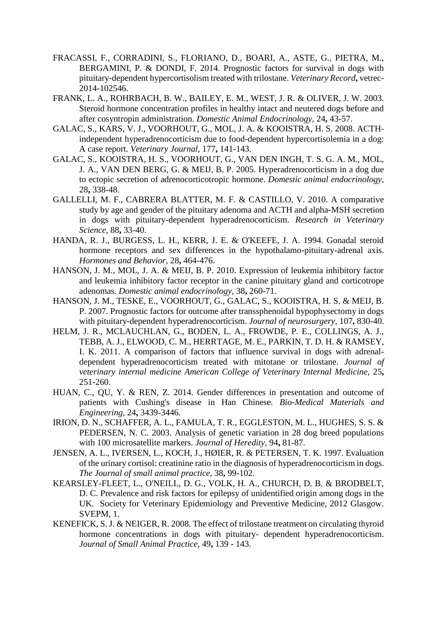- <span id="page-27-2"></span>FRACASSI, F., CORRADINI, S., FLORIANO, D., BOARI, A., ASTE, G., PIETRA, M., BERGAMINI, P. & DONDI, F. 2014. Prognostic factors for survival in dogs with pituitary-dependent hypercortisolism treated with trilostane. *Veterinary Record***,** vetrec-2014-102546.
- <span id="page-27-13"></span>FRANK, L. A., ROHRBACH, B. W., BAILEY, E. M., WEST, J. R. & OLIVER, J. W. 2003. Steroid hormone concentration profiles in healthy intact and neutered dogs before and after cosyntropin administration. *Domestic Animal Endocrinology,* 24**,** 43-57.
- <span id="page-27-1"></span>GALAC, S., KARS, V. J., VOORHOUT, G., MOL, J. A. & KOOISTRA, H. S. 2008. ACTHindependent hyperadrenocorticism due to food-dependent hypercortisolemia in a dog: A case report. *Veterinary Journal,* 177**,** 141-143.
- <span id="page-27-0"></span>GALAC, S., KOOISTRA, H. S., VOORHOUT, G., VAN DEN INGH, T. S. G. A. M., MOL, J. A., VAN DEN BERG, G. & MEIJ, B. P. 2005. Hyperadrenocorticism in a dog due to ectopic secretion of adrenocorticotropic hormone. *Domestic animal endocrinology,* 28**,** 338-48.
- <span id="page-27-3"></span>GALLELLI, M. F., CABRERA BLATTER, M. F. & CASTILLO, V. 2010. A comparative study by age and gender of the pituitary adenoma and ACTH and alpha-MSH secretion in dogs with pituitary-dependent hyperadrenocorticism. *Research in Veterinary Science,* 88**,** 33-40.
- <span id="page-27-12"></span>HANDA, R. J., BURGESS, L. H., KERR, J. E. & O'KEEFE, J. A. 1994. Gonadal steroid hormone receptors and sex differences in the hypothalamo-pituitary-adrenal axis. *Hormones and Behavior,* 28**,** 464-476.
- <span id="page-27-7"></span>HANSON, J. M., MOL, J. A. & MEIJ, B. P. 2010. Expression of leukemia inhibitory factor and leukemia inhibitory factor receptor in the canine pituitary gland and corticotrope adenomas. *Domestic animal endocrinology,* 38**,** 260-71.
- <span id="page-27-9"></span>HANSON, J. M., TESKE, E., VOORHOUT, G., GALAC, S., KOOISTRA, H. S. & MEIJ, B. P. 2007. Prognostic factors for outcome after transsphenoidal hypophysectomy in dogs with pituitary-dependent hyperadrenocorticism. *Journal of neurosurgery,* 107**,** 830-40.
- <span id="page-27-4"></span>HELM, J. R., MCLAUCHLAN, G., BODEN, L. A., FROWDE, P. E., COLLINGS, A. J., TEBB, A. J., ELWOOD, C. M., HERRTAGE, M. E., PARKIN, T. D. H. & RAMSEY, I. K. 2011. A comparison of factors that influence survival in dogs with adrenaldependent hyperadrenocorticism treated with mitotane or trilostane. *Journal of veterinary internal medicine American College of Veterinary Internal Medicine,* 25**,** 251-260.
- <span id="page-27-11"></span>HUAN, C., QU, Y. & REN, Z. 2014. Gender differences in presentation and outcome of patients with Cushing's disease in Han Chinese. *Bio-Medical Materials and Engineering,* 24**,** 3439-3446.
- <span id="page-27-6"></span>IRION, D. N., SCHAFFER, A. L., FAMULA, T. R., EGGLESTON, M. L., HUGHES, S. S. & PEDERSEN, N. C. 2003. Analysis of genetic variation in 28 dog breed populations with 100 microsatellite markers. *Journal of Heredity,* 94**,** 81-87.
- <span id="page-27-10"></span>JENSEN, A. L., IVERSEN, L., KOCH, J., HØIER, R. & PETERSEN, T. K. 1997. Evaluation of the urinary cortisol: creatinine ratio in the diagnosis of hyperadrenocorticism in dogs. *The Journal of small animal practice,* 38**,** 99-102.
- <span id="page-27-8"></span>KEARSLEY-FLEET, L., O'NEILL, D. G., VOLK, H. A., CHURCH, D. B. & BRODBELT, D. C. Prevalence and risk factors for epilepsy of unidentified origin among dogs in the UK. Society for Veterinary Epidemiology and Preventive Medicine, 2012 Glasgow. SVEPM, 1.
- <span id="page-27-5"></span>KENEFICK, S. J. & NEIGER, R. 2008. The effect of trilostane treatment on circulating thyroid hormone concentrations in dogs with pituitary- dependent hyperadrenocorticism. *Journal of Small Animal Practice,* 49**,** 139 - 143.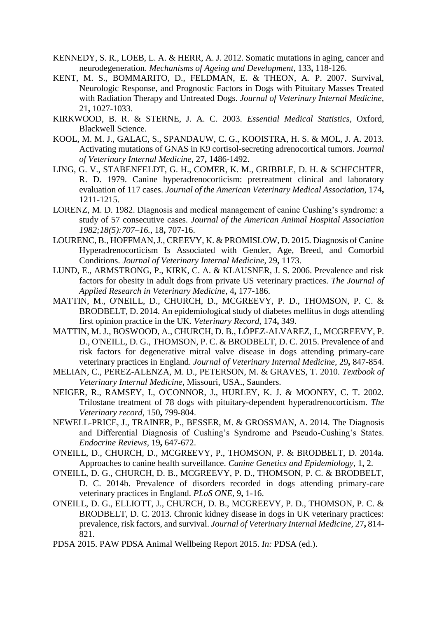- <span id="page-28-12"></span>KENNEDY, S. R., LOEB, L. A. & HERR, A. J. 2012. Somatic mutations in aging, cancer and neurodegeneration. *Mechanisms of Ageing and Development,* 133**,** 118-126.
- <span id="page-28-14"></span>KENT, M. S., BOMMARITO, D., FELDMAN, E. & THEON, A. P. 2007. Survival, Neurologic Response, and Prognostic Factors in Dogs with Pituitary Masses Treated with Radiation Therapy and Untreated Dogs. *Journal of Veterinary Internal Medicine,* 21**,** 1027-1033.
- <span id="page-28-6"></span>KIRKWOOD, B. R. & STERNE, J. A. C. 2003. *Essential Medical Statistics,* Oxford, Blackwell Science.
- <span id="page-28-8"></span>KOOL, M. M. J., GALAC, S., SPANDAUW, C. G., KOOISTRA, H. S. & MOL, J. A. 2013. Activating mutations of GNAS in K9 cortisol-secreting adrenocortical tumors. *Journal of Veterinary Internal Medicine,* 27**,** 1486-1492.
- <span id="page-28-1"></span>LING, G. V., STABENFELDT, G. H., COMER, K. M., GRIBBLE, D. H. & SCHECHTER, R. D. 1979. Canine hyperadrenocorticism: pretreatment clinical and laboratory evaluation of 117 cases. *Journal of the American Veterinary Medical Association,* 174**,** 1211-1215.
- <span id="page-28-2"></span>LORENZ, M. D. 1982. Diagnosis and medical management of canine Cushing's syndrome: a study of 57 consecutive cases. *Journal of the American Animal Hospital Association 1982;18(5):707–16.,* 18**,** 707-16.
- <span id="page-28-3"></span>LOURENC, B., HOFFMAN, J., CREEVY, K. & PROMISLOW, D. 2015. Diagnosis of Canine Hyperadrenocorticism Is Associated with Gender, Age, Breed, and Comorbid Conditions. *Journal of Veterinary Internal Medicine,* 29**,** 1173.
- <span id="page-28-11"></span>LUND, E., ARMSTRONG, P., KIRK, C. A. & KLAUSNER, J. S. 2006. Prevalence and risk factors for obesity in adult dogs from private US veterinary practices. *The Journal of Applied Research in Veterinary Medicine,* 4**,** 177-186.
- <span id="page-28-7"></span>MATTIN, M., O'NEILL, D., CHURCH, D., MCGREEVY, P. D., THOMSON, P. C. & BRODBELT, D. 2014. An epidemiological study of diabetes mellitus in dogs attending first opinion practice in the UK. *Veterinary Record,* 174**,** 349.
- <span id="page-28-9"></span>MATTIN, M. J., BOSWOOD, A., CHURCH, D. B., LÓPEZ-ALVAREZ, J., MCGREEVY, P. D., O'NEILL, D. G., THOMSON, P. C. & BRODBELT, D. C. 2015. Prevalence of and risk factors for degenerative mitral valve disease in dogs attending primary-care veterinary practices in England. *Journal of Veterinary Internal Medicine,* 29**,** 847-854.
- <span id="page-28-0"></span>MELIAN, C., PEREZ-ALENZA, M. D., PETERSON, M. & GRAVES, T. 2010. *Textbook of Veterinary Internal Medicine,* Missouri, USA., Saunders.
- <span id="page-28-4"></span>NEIGER, R., RAMSEY, I., O'CONNOR, J., HURLEY, K. J. & MOONEY, C. T. 2002. Trilostane treatment of 78 dogs with pituitary-dependent hyperadrenocorticism. *The Veterinary record,* 150**,** 799-804.
- <span id="page-28-13"></span>NEWELL-PRICE, J., TRAINER, P., BESSER, M. & GROSSMAN, A. 2014. The Diagnosis and Differential Diagnosis of Cushing's Syndrome and Pseudo-Cushing's States. *Endocrine Reviews,* 19**,** 647-672.
- <span id="page-28-16"></span>O'NEILL, D., CHURCH, D., MCGREEVY, P., THOMSON, P. & BRODBELT, D. 2014a. Approaches to canine health surveillance. *Canine Genetics and Epidemiology,* 1**,** 2.
- <span id="page-28-5"></span>O'NEILL, D. G., CHURCH, D. B., MCGREEVY, P. D., THOMSON, P. C. & BRODBELT, D. C. 2014b. Prevalence of disorders recorded in dogs attending primary-care veterinary practices in England. *PLoS ONE,* 9**,** 1-16.
- <span id="page-28-10"></span>O'NEILL, D. G., ELLIOTT, J., CHURCH, D. B., MCGREEVY, P. D., THOMSON, P. C. & BRODBELT, D. C. 2013. Chronic kidney disease in dogs in UK veterinary practices: prevalence, risk factors, and survival. *Journal of Veterinary Internal Medicine,* 27**,** 814- 821.
- <span id="page-28-15"></span>PDSA 2015. PAW PDSA Animal Wellbeing Report 2015. *In:* PDSA (ed.).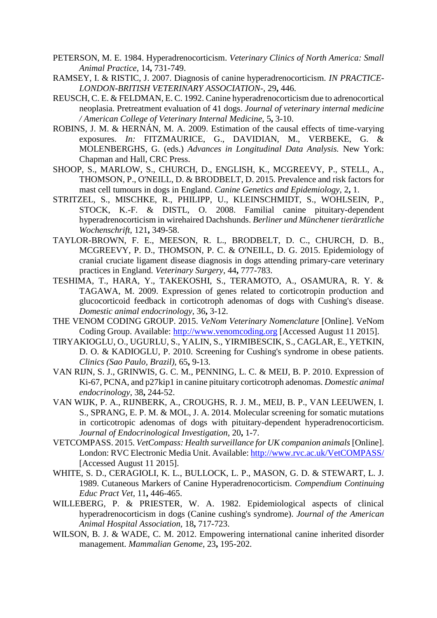- <span id="page-29-12"></span>PETERSON, M. E. 1984. Hyperadrenocorticism. *Veterinary Clinics of North America: Small Animal Practice,* 14**,** 731-749.
- <span id="page-29-14"></span>RAMSEY, I. & RISTIC, J. 2007. Diagnosis of canine hyperadrenocorticism. *IN PRACTICE-LONDON-BRITISH VETERINARY ASSOCIATION-,* 29**,** 446.
- <span id="page-29-0"></span>REUSCH, C. E. & FELDMAN, E. C. 1992. Canine hyperadrenocorticism due to adrenocortical neoplasia. Pretreatment evaluation of 41 dogs. *Journal of veterinary internal medicine / American College of Veterinary Internal Medicine,* 5**,** 3-10.
- <span id="page-29-6"></span>ROBINS, J. M. & HERNÁN, M. A. 2009. Estimation of the causal effects of time-varying exposures. *In:* FITZMAURICE, G., DAVIDIAN, M., VERBEKE, G. & MOLENBERGHS, G. (eds.) *Advances in Longitudinal Data Analysis.* New York: Chapman and Hall, CRC Press.
- <span id="page-29-15"></span>SHOOP, S., MARLOW, S., CHURCH, D., ENGLISH, K., MCGREEVY, P., STELL, A., THOMSON, P., O'NEILL, D. & BRODBELT, D. 2015. Prevalence and risk factors for mast cell tumours in dogs in England. *Canine Genetics and Epidemiology,* 2**,** 1.
- <span id="page-29-11"></span>STRITZEL, S., MISCHKE, R., PHILIPP, U., KLEINSCHMIDT, S., WOHLSEIN, P., STOCK, K.-F. & DISTL, O. 2008. Familial canine pituitary-dependent hyperadrenocorticism in wirehaired Dachshunds. *Berliner und Münchener tierärztliche Wochenschrift,* 121**,** 349-58.
- <span id="page-29-10"></span>TAYLOR-BROWN, F. E., MEESON, R. L., BRODBELT, D. C., CHURCH, D. B., MCGREEVY, P. D., THOMSON, P. C. & O'NEILL, D. G. 2015. Epidemiology of cranial cruciate ligament disease diagnosis in dogs attending primary-care veterinary practices in England. *Veterinary Surgery,* 44**,** 777-783.
- <span id="page-29-7"></span>TESHIMA, T., HARA, Y., TAKEKOSHI, S., TERAMOTO, A., OSAMURA, R. Y. & TAGAWA, M. 2009. Expression of genes related to corticotropin production and glucocorticoid feedback in corticotroph adenomas of dogs with Cushing's disease. *Domestic animal endocrinology,* 36**,** 3-12.
- <span id="page-29-5"></span>THE VENOM CODING GROUP. 2015. *VeNom Veterinary Nomenclature* [Online]. VeNom Coding Group. Available: [http://www.venomcoding.org](http://www.venomcoding.org/) [Accessed August 11 2015].
- <span id="page-29-13"></span>TIRYAKIOGLU, O., UGURLU, S., YALIN, S., YIRMIBESCIK, S., CAGLAR, E., YETKIN, D. O. & KADIOGLU, P. 2010. Screening for Cushing's syndrome in obese patients. *Clinics (Sao Paulo, Brazil),* 65**,** 9-13.
- <span id="page-29-8"></span>VAN RIJN, S. J., GRINWIS, G. C. M., PENNING, L. C. & MEIJ, B. P. 2010. Expression of Ki-67, PCNA, and p27kip1 in canine pituitary corticotroph adenomas. *Domestic animal endocrinology,* 38**,** 244-52.
- <span id="page-29-9"></span>VAN WIJK, P. A., RIJNBERK, A., CROUGHS, R. J. M., MEIJ, B. P., VAN LEEUWEN, I. S., SPRANG, E. P. M. & MOL, J. A. 2014. Molecular screening for somatic mutations in corticotropic adenomas of dogs with pituitary-dependent hyperadrenocorticism. *Journal of Endocrinological Investigation,* 20**,** 1-7.
- <span id="page-29-4"></span>VETCOMPASS. 2015. *VetCompass: Health surveillance for UK companion animals* [Online]. London: RVC Electronic Media Unit. Available[: http://www.rvc.ac.uk/VetCOMPASS/](http://www.rvc.ac.uk/VetCOMPASS/) [Accessed August 11 2015].
- <span id="page-29-1"></span>WHITE, S. D., CERAGIOLI, K. L., BULLOCK, L. P., MASON, G. D. & STEWART, L. J. 1989. Cutaneous Markers of Canine Hyperadrenocorticism. *Compendium Continuing Educ Pract Vet,* 11**,** 446-465.
- <span id="page-29-2"></span>WILLEBERG, P. & PRIESTER, W. A. 1982. Epidemiological aspects of clinical hyperadrenocorticism in dogs (Canine cushing's syndrome). *Journal of the American Animal Hospital Association,* 18**,** 717-723.
- <span id="page-29-3"></span>WILSON, B. J. & WADE, C. M. 2012. Empowering international canine inherited disorder management. *Mammalian Genome,* 23**,** 195-202.